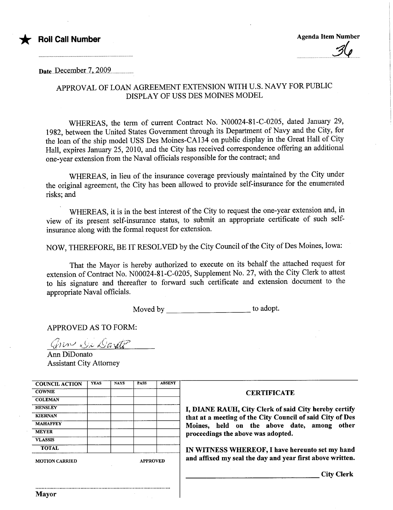

 $\boldsymbol{\mathcal{L}}$ 

Date..December 7, 2009

## APPROVAL OF LOAN AGREEMENT EXTENSION WITH U.S. NAVY FOR PUBLIC DISPLAY OF USS DES MOINES MODEL

WHEREAS, the term of current Contract No. N00024-81-C-0205, dated January 29, 1982, between the United States Governent through its Deparment of Navy and the City, for the loan of the ship model USS Des Moines-CA134 on public display in the Great Hall of City Hall, expires January 25, 2010, and the City has received correspondence offering an additional one-year extension from the Naval officials responsible for the contract; and

WHEREAS, in lieu of the insurance coverage previously maintained by the City under the onginal agreement, the City has been allowed to provide self-insurance for the enumerated risks; and

WHEREAS, it is in the best interest of the City to request the one-year extension and, in view of its present self-insurance status, to submit an appropriate certificate of such selfinsurance along with the formal request for extension.

NOW, THEREFORE, BE IT RESOLVED by the City Council of the City of Des Moines, Iowa:

That the Mayor is hereby authorized to execute on its behalf the attached request for extension of Contract No. N00024-81-C-0205, Supplement No. 27, with the City Clerk to attest to his signature and thereafter to forward such certificate and extension document to the appropriate Naval officials.

Moved by \_\_\_\_\_\_\_\_\_\_\_\_\_\_\_\_\_\_\_\_\_\_\_\_\_\_\_\_\_ to adopt.

APPROVED AS TO FORM:

 $G$  in  $\mathcal{Q}_k$   $\mathcal{Q}_i$  aration

Ann DiDonato Assistant City Attorney

| <b>ABSENT</b><br><b>YEAS</b><br><b>PASS</b><br><b>NAYS</b><br><b>COUNCIL ACTION</b><br><b>COWNIE</b><br><b>CERTIFICATE</b><br><b>COLEMAN</b><br><b>HENSLEY</b><br>I, DIANE RAUH, City Clerk of said City hereby certify<br><b>KIERNAN</b><br>that at a meeting of the City Council of said City of Des<br><b>MAHAFFEY</b><br>Moines, held on the above date, among<br><b>MEYER</b><br>proceedings the above was adopted.<br><b>VLASSIS</b><br><b>TOTAL</b><br>IN WITNESS WHEREOF, I have hereunto set my hand<br>and affixed my seal the day and year first above written.<br><b>APPROVED</b><br><b>MOTION CARRIED</b> |                   |
|------------------------------------------------------------------------------------------------------------------------------------------------------------------------------------------------------------------------------------------------------------------------------------------------------------------------------------------------------------------------------------------------------------------------------------------------------------------------------------------------------------------------------------------------------------------------------------------------------------------------|-------------------|
|                                                                                                                                                                                                                                                                                                                                                                                                                                                                                                                                                                                                                        |                   |
|                                                                                                                                                                                                                                                                                                                                                                                                                                                                                                                                                                                                                        |                   |
|                                                                                                                                                                                                                                                                                                                                                                                                                                                                                                                                                                                                                        |                   |
|                                                                                                                                                                                                                                                                                                                                                                                                                                                                                                                                                                                                                        |                   |
|                                                                                                                                                                                                                                                                                                                                                                                                                                                                                                                                                                                                                        |                   |
|                                                                                                                                                                                                                                                                                                                                                                                                                                                                                                                                                                                                                        | other             |
|                                                                                                                                                                                                                                                                                                                                                                                                                                                                                                                                                                                                                        |                   |
|                                                                                                                                                                                                                                                                                                                                                                                                                                                                                                                                                                                                                        |                   |
|                                                                                                                                                                                                                                                                                                                                                                                                                                                                                                                                                                                                                        |                   |
|                                                                                                                                                                                                                                                                                                                                                                                                                                                                                                                                                                                                                        |                   |
|                                                                                                                                                                                                                                                                                                                                                                                                                                                                                                                                                                                                                        | <b>City Clerk</b> |
|                                                                                                                                                                                                                                                                                                                                                                                                                                                                                                                                                                                                                        |                   |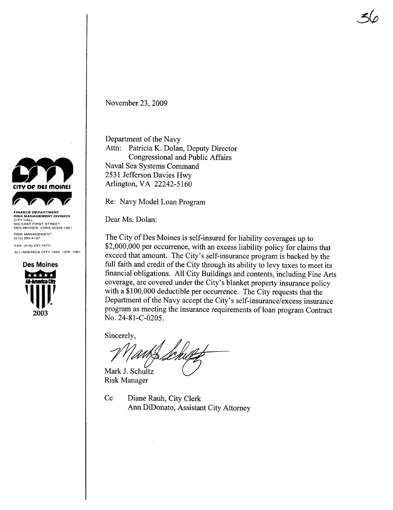

DES MOINES, IOWA 50309-1891 RISK MANAGEMENT (515) 283-4107

FAX: (515) 237-1670 ALL-AMERICA CITY 1949, 1976, 1981



November 23, 2009

Department of the Navy Attn: Patricia K. Dolan, Deputy Director Congressional and Public Affairs Naval Sea Systems Command 2531 Jefferson Davies Hwy Arlington, VA 22242-5160

Re: Navy Model Loan Program

Dear Ms. Dolan:

The City of Des Moines is self-insured for liability coverages up to \$2,000,000 per occurence, with an excess liability policy for claims that exceed that amount. The City's self-insurance program is backed by the full faith and credit of the City through its ability to levy taxes to meet its financial obligations. All City Buildings and contents, including Fine Arts coverage, are covered under the City's blanket property insurance policy with a \$100,000 deductible per occurence. The City requests that the Department of the Navy accept the City's self-insurance/excess insurance program as meeting the insurance requirements of loan program Contract No. 24-81-C-0205.

 $5/$ 

Sincerely.

Mark J. Schultz

**Risk Manager** 

Cc Diane Rauh, City Clerk Ann DiDonato, Assistant City Attorney